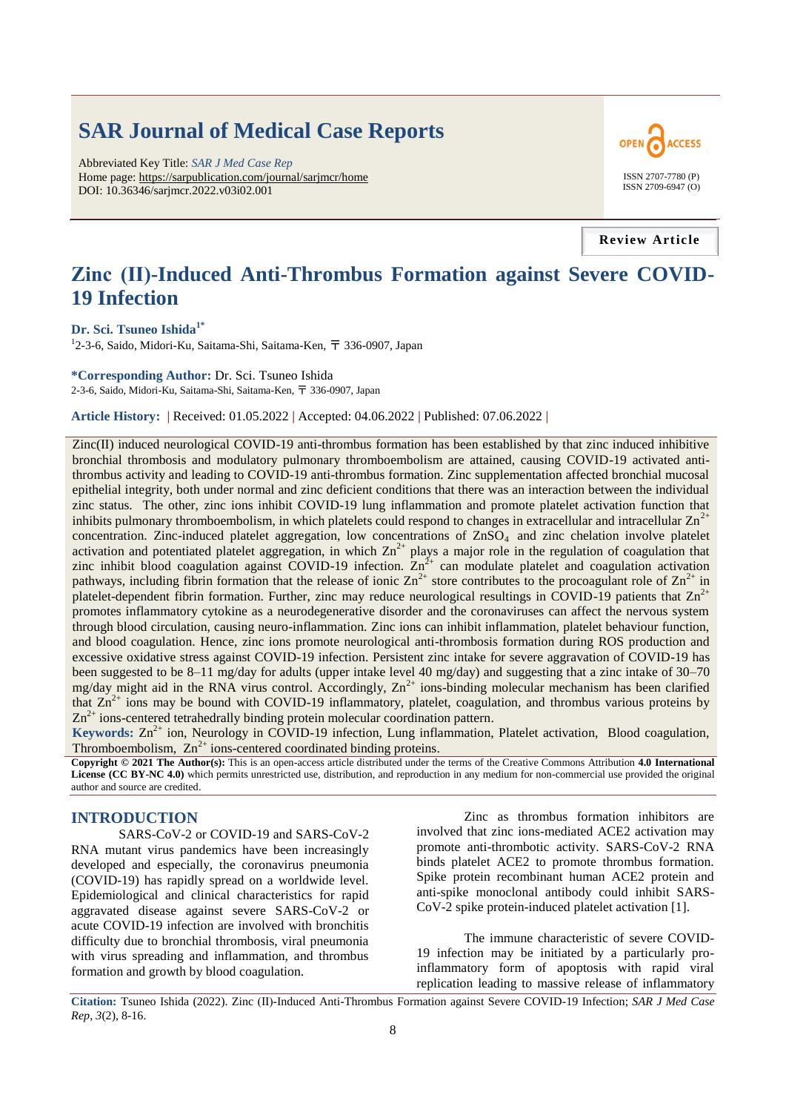# **SAR Journal of Medical Case Reports**

Abbreviated Key Title: *SAR J Med Case Rep* Home page: https://sarpublication.com/journal/sarjmcr/home DOI: 10.36346/sarjmcr.2022.v03i02.001



**Review Article**

# **Zinc (Ⅱ)-Induced Anti-Thrombus Formation against Severe COVID-19 Infection**

#### **Dr. Sci. Tsuneo Ishida1\***

<sup>1</sup>2-3-6, Saido, Midori-Ku, Saitama-Shi, Saitama-Ken, 〒 336-0907, Japan

**\*Corresponding Author:** Dr. Sci. Tsuneo Ishida 2-3-6, Saido, Midori-Ku, Saitama-Shi, Saitama-Ken, 〒 336-0907, Japan

**Article History: |** Received: 01.05.2022 **|** Accepted: 04.06.2022 **|** Published: 07.06.2022 **|**

Zinc(Ⅱ) induced neurological COVID-19 anti-thrombus formation has been established by that zinc induced inhibitive bronchial thrombosis and modulatory pulmonary thromboembolism are attained, causing COVID-19 activated antithrombus activity and leading to COVID-19 anti-thrombus formation. Zinc supplementation affected bronchial mucosal epithelial integrity, both under normal and zinc deficient conditions that there was an interaction between the individual zinc status. The other, zinc ions inhibit COVID-19 lung inflammation and promote platelet activation function that inhibits pulmonary thromboembolism, in which platelets could respond to changes in extracellular and intracellular  $Zn<sup>2</sup>$ concentration. Zinc-induced platelet aggregation, low concentrations of ZnSO<sub>4</sub> and zinc chelation involve platelet activation and potentiated platelet aggregation, in which  $Zn^{2+}$  plays a major role in the regulation of coagulation that zinc inhibit blood coagulation against COVID-19 infection.  $\text{Zn}^2$  can modulate platelet and coagulation activation pathways, including fibrin formation that the release of ionic  $\text{Zn}^{2+}$  store contributes to the procoagulant role of  $\text{Zn}^{2+}$  in platelet-dependent fibrin formation. Further, zinc may reduce neurological resultings in COVID-19 patients that  $Zn^{2+}$ promotes inflammatory cytokine as a neurodegenerative disorder and the coronaviruses can affect the nervous system through blood circulation, causing neuro-inflammation. Zinc ions can inhibit inflammation, platelet behaviour function, and blood coagulation. Hence, zinc ions promote neurological anti-thrombosis formation during ROS production and excessive oxidative stress against COVID-19 infection. Persistent zinc intake for severe aggravation of COVID-19 has been suggested to be 8–11 mg/day for adults (upper intake level 40 mg/day) and suggesting that a zinc intake of 30–70 mg/day might aid in the RNA virus control. Accordingly,  $Zn^{2+}$  ions-binding molecular mechanism has been clarified that  $Zn^{2+}$  ions may be bound with COVID-19 inflammatory, platelet, coagulation, and thrombus various proteins by  $Zn^{2+}$  ions-centered tetrahedrally binding protein molecular coordination pattern.

Keywords: Zn<sup>2+</sup> ion, Neurology in COVID-19 infection, Lung inflammation, Platelet activation, Blood coagulation, Thromboembolism,  $Zn^{2+}$  ions-centered coordinated binding proteins.

**Copyright © 2021 The Author(s):** This is an open-access article distributed under the terms of the Creative Commons Attribution **4.0 International License (CC BY-NC 4.0)** which permits unrestricted use, distribution, and reproduction in any medium for non-commercial use provided the original author and source are credited.

#### **INTRODUCTION**

SARS-CoV-2 or COVID-19 and SARS-CoV-2 RNA mutant virus pandemics have been increasingly developed and especially, the coronavirus pneumonia (COVID-19) has rapidly spread on a worldwide level. Epidemiological and clinical characteristics for rapid aggravated disease against severe SARS-CoV-2 or acute COVID-19 infection are involved with bronchitis difficulty due to bronchial thrombosis, viral pneumonia with virus spreading and inflammation, and thrombus formation and growth by blood coagulation.

Zinc as thrombus formation inhibitors are involved that zinc ions-mediated ACE2 activation may promote anti-thrombotic activity. SARS-CoV-2 RNA binds platelet ACE2 to promote thrombus formation. Spike protein recombinant human ACE2 protein and anti-spike monoclonal antibody could inhibit SARS-CoV-2 spike protein-induced platelet activation [1].

The immune characteristic of severe COVID-19 infection may be initiated by a particularly proinflammatory form of apoptosis with rapid viral replication leading to massive release of inflammatory

**Citation:** Tsuneo Ishida (2022). Zinc (Ⅱ)-Induced Anti-Thrombus Formation against Severe COVID-19 Infection; *SAR J Med Case Rep*, *3*(2), 8-16.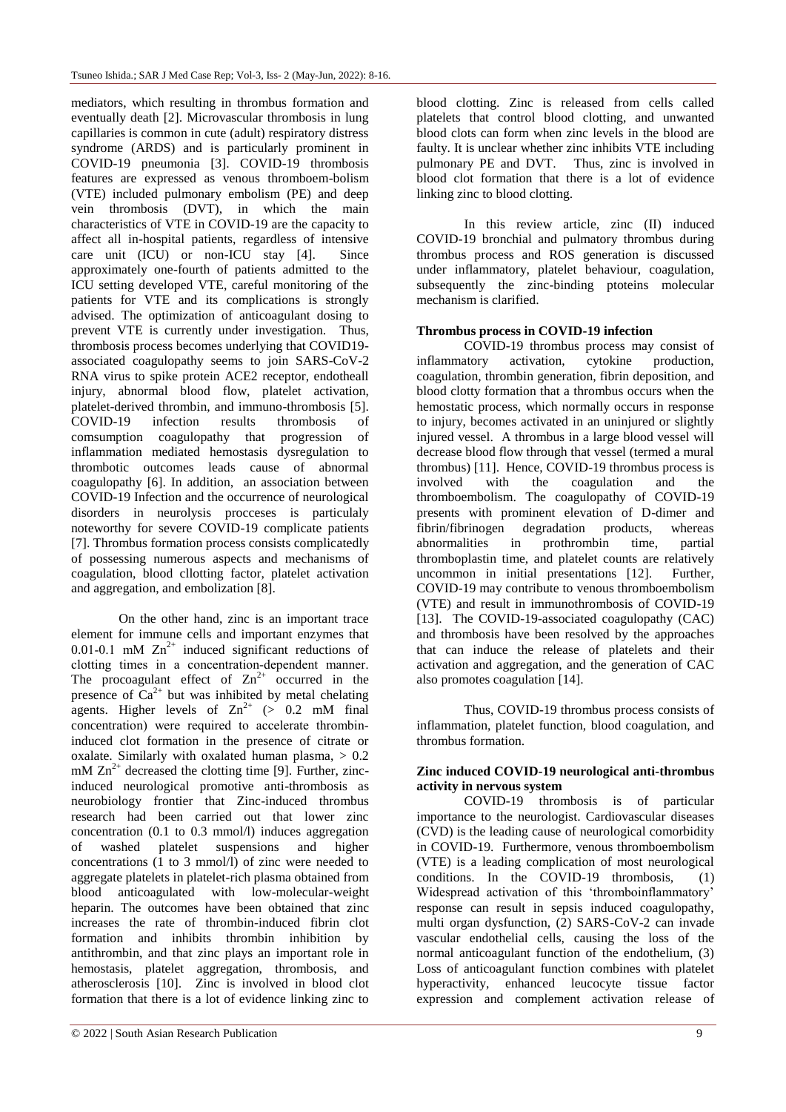mediators, which resulting in thrombus formation and eventually death [2]. Microvascular thrombosis in lung capillaries is common in cute (adult) respiratory distress syndrome (ARDS) and is particularly prominent in COVID-19 pneumonia [3]. COVID-19 thrombosis features are expressed as venous thromboem-bolism (VTE) included pulmonary embolism (PE) and deep vein thrombosis (DVT), in which the main characteristics of VTE in COVID-19 are the capacity to affect all in-hospital patients, regardless of intensive care unit (ICU) or non-ICU stay [4]. Since approximately one-fourth of patients admitted to the ICU setting developed VTE, careful monitoring of the patients for VTE and its complications is strongly advised. The optimization of anticoagulant dosing to prevent VTE is currently under investigation. Thus, thrombosis process becomes underlying that COVID19 associated coagulopathy seems to join SARS-CoV-2 RNA virus to spike protein ACE2 receptor, endotheall injury, abnormal blood flow, platelet activation, platelet-derived thrombin, and immuno-thrombosis [5]. COVID-19 infection results thrombosis of comsumption coagulopathy that progression of inflammation mediated hemostasis dysregulation to thrombotic outcomes leads cause of abnormal coagulopathy [6]. In addition, an association between COVID-19 Infection and the occurrence of neurological disorders in neurolysis procceses is particulaly noteworthy for severe COVID-19 complicate patients [7]. Thrombus formation process consists complicatedly of possessing numerous aspects and mechanisms of coagulation, blood cllotting factor, platelet activation and aggregation, and embolization [8].

On the other hand, zinc is an important trace element for immune cells and important enzymes that 0.01-0.1 mM  $\text{Zn}^{2+}$  induced significant reductions of clotting times in a concentration‐dependent manner. The procoagulant effect of  $Zn^{2+}$  occurred in the presence of  $Ca^{2+}$  but was inhibited by metal chelating agents. Higher levels of  $Zn^{2+}$  (> 0.2 mM final concentration) were required to accelerate thrombininduced clot formation in the presence of citrate or oxalate. Similarly with oxalated human plasma,  $> 0.2$ mM  $Zn^{2+}$  decreased the clotting time [9]. Further, zincinduced neurological promotive anti-thrombosis as neurobiology frontier that Zinc-induced thrombus research had been carried out that lower zinc concentration (0.1 to 0.3 mmol/l) induces aggregation of washed platelet suspensions and higher concentrations (1 to 3 mmol/l) of zinc were needed to aggregate platelets in platelet-rich plasma obtained from blood anticoagulated with low-molecular-weight heparin. The outcomes have been obtained that zinc increases the rate of thrombin-induced fibrin clot formation and inhibits thrombin inhibition by antithrombin, and that zinc plays an important role in hemostasis, platelet aggregation, thrombosis, and atherosclerosis [10]. Zinc is involved in blood clot formation that there is a lot of evidence linking zinc to

blood clotting. Zinc is released from cells called platelets that control blood clotting, and unwanted blood clots can form when zinc levels in the blood are faulty. It is unclear whether zinc inhibits VTE including pulmonary PE and DVT. Thus, zinc is involved in blood clot formation that there is a lot of evidence linking zinc to blood clotting.

In this review article, zinc (Ⅱ) induced COVID-19 bronchial and pulmatory thrombus during thrombus process and ROS generation is discussed under inflammatory, platelet behaviour, coagulation, subsequently the zinc-binding ptoteins molecular mechanism is clarified.

# **Thrombus process in COVID-19 infection**

COVID-19 thrombus process may consist of inflammatory activation, cytokine production, coagulation, thrombin generation, fibrin deposition, and blood clotty formation that a thrombus occurs when the hemostatic process, which normally occurs in response to injury, becomes activated in an uninjured or slightly injured vessel. A thrombus in a large blood vessel will decrease blood flow through that vessel (termed a mural thrombus) [11]. Hence, COVID-19 thrombus process is involved with the coagulation and the thromboembolism. The coagulopathy of COVID-19 presents with prominent elevation of D-dimer and fibrin/fibrinogen degradation products, whereas abnormalities in prothrombin time, partial thromboplastin time, and platelet counts are relatively uncommon in initial presentations [12]. Further, COVID-19 may contribute to venous thromboembolism (VTE) and result in immunothrombosis of COVID-19 [13]. The COVID-19-associated coagulopathy (CAC) and thrombosis have been resolved by the approaches that can induce the release of platelets and their activation and aggregation, and the generation of CAC also promotes coagulation [14].

Thus, COVID-19 thrombus process consists of inflammation, platelet function, blood coagulation, and thrombus formation.

## **Zinc induced COVID-19 neurological anti-thrombus activity in nervous system**

COVID-19 thrombosis is of particular importance to the neurologist. Cardiovascular diseases (CVD) is the leading cause of neurological comorbidity in COVID-19. Furthermore, venous thromboembolism (VTE) is a leading complication of most neurological conditions. In the COVID-19 thrombosis, (1) Widespread activation of this 'thromboinflammatory' response can result in sepsis induced coagulopathy, multi organ dysfunction, (2) SARS-CoV-2 can invade vascular endothelial cells, causing the loss of the normal anticoagulant function of the endothelium, (3) Loss of anticoagulant function combines with platelet hyperactivity, enhanced leucocyte tissue factor expression and complement activation release of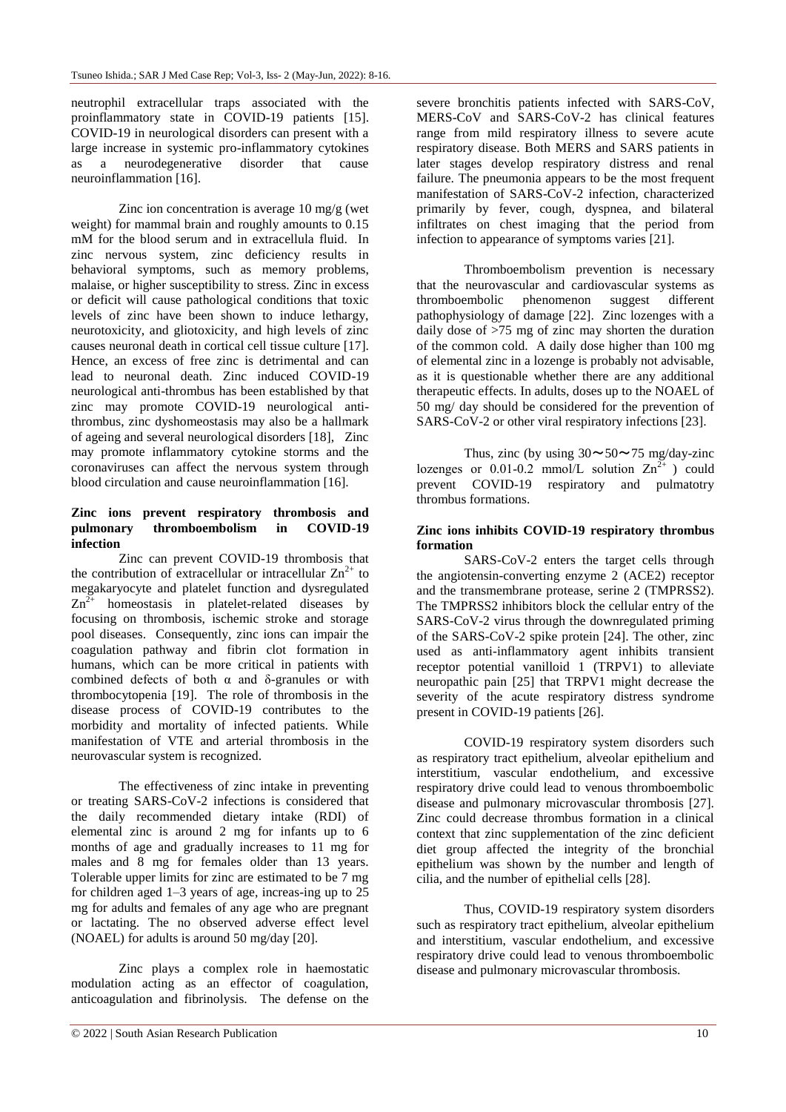neutrophil extracellular traps associated with the proinflammatory state in COVID-19 patients [15]. COVID-19 in neurological disorders can present with a large increase in systemic pro-inflammatory cytokines as a neurodegenerative disorder that cause neuroinflammation [16].

Zinc ion concentration is average 10 mg/g (wet weight) for mammal brain and roughly amounts to 0.15 mM for the blood serum and in extracellula fluid. In zinc nervous system, zinc deficiency results in behavioral symptoms, such as memory problems, malaise, or higher susceptibility to stress. Zinc in excess or deficit will cause pathological conditions that toxic levels of zinc have been shown to induce lethargy, neurotoxicity, and gliotoxicity, and high levels of zinc causes neuronal death in cortical cell tissue culture [17]. Hence, an excess of free zinc is detrimental and can lead to neuronal death. Zinc induced COVID-19 neurological anti-thrombus has been established by that zinc may promote COVID-19 neurological antithrombus, zinc dyshomeostasis may also be a hallmark of ageing and several neurological disorders [18], Zinc may promote inflammatory cytokine storms and the coronaviruses can affect the nervous system through blood circulation and cause neuroinflammation [16].

#### **Zinc ions prevent respiratory thrombosis and pulmonary thromboembolism in COVID-19 infection**

Zinc can prevent COVID-19 thrombosis that the contribution of extracellular or intracellular  $\text{Zn}^{2+}$  to megakaryocyte and platelet function and dysregulated  $\text{Zn}^{\overline{2+}}$  homeostasis in platelet-related diseases by focusing on thrombosis, ischemic stroke and storage pool diseases. Consequently, zinc ions can impair the coagulation pathway and fibrin clot formation in humans, which can be more critical in patients with combined defects of both  $\alpha$  and  $\delta$ -granules or with thrombocytopenia [19]. The role of thrombosis in the disease process of COVID-19 contributes to the morbidity and mortality of infected patients. While manifestation of VTE and arterial thrombosis in the neurovascular system is recognized.

The effectiveness of zinc intake in preventing or treating SARS-CoV-2 infections is considered that the daily recommended dietary intake (RDI) of elemental zinc is around 2 mg for infants up to 6 months of age and gradually increases to 11 mg for males and 8 mg for females older than 13 years. Tolerable upper limits for zinc are estimated to be 7 mg for children aged 1–3 years of age, increas-ing up to 25 mg for adults and females of any age who are pregnant or lactating. The no observed adverse effect level (NOAEL) for adults is around 50 mg/day [20].

Zinc plays a complex role in haemostatic modulation acting as an effector of coagulation, anticoagulation and fibrinolysis. The defense on the

severe bronchitis patients infected with SARS-CoV, MERS-CoV and SARS-CoV-2 has clinical features range from mild respiratory illness to severe acute respiratory disease. Both MERS and SARS patients in later stages develop respiratory distress and renal failure. The pneumonia appears to be the most frequent manifestation of SARS-CoV-2 infection, characterized primarily by fever, cough, dyspnea, and bilateral infiltrates on chest imaging that the period from infection to appearance of symptoms varies [21].

Thromboembolism prevention is necessary that the neurovascular and cardiovascular systems as thromboembolic phenomenon suggest different pathophysiology of damage [22]. Zinc lozenges with a daily dose of >75 mg of zinc may shorten the duration of the common cold. A daily dose higher than 100 mg of elemental zinc in a lozenge is probably not advisable, as it is questionable whether there are any additional therapeutic effects. In adults, doses up to the NOAEL of 50 mg/ day should be considered for the prevention of SARS-CoV-2 or other viral respiratory infections [23].

Thus, zinc (by using  $30 \sim 50 \sim 75$  mg/day-zinc lozenges or 0.01-0.2 mmol/L solution  $\text{Zn}^{\bar{2}+}$  ) could prevent COVID-19 respiratory and pulmatotry thrombus formations.

## **Zinc ions inhibits COVID-19 respiratory thrombus formation**

SARS-CoV-2 enters the target cells through the angiotensin-converting enzyme 2 (ACE2) receptor and the transmembrane protease, serine 2 (TMPRSS2). The TMPRSS2 inhibitors block the cellular entry of the SARS-CoV-2 virus through the downregulated priming of the SARS-CoV-2 spike protein [24]. The other, zinc used as anti-inflammatory agent inhibits transient receptor potential vanilloid 1 (TRPV1) to alleviate neuropathic pain [25] that TRPV1 might decrease the severity of the acute respiratory distress syndrome present in COVID-19 patients [26].

COVID-19 respiratory system disorders such as respiratory tract epithelium, alveolar epithelium and interstitium, vascular endothelium, and excessive respiratory drive could lead to venous thromboembolic disease and pulmonary microvascular thrombosis [27]. Zinc could decrease thrombus formation in a clinical context that zinc supplementation of the zinc deficient diet group affected the integrity of the bronchial epithelium was shown by the number and length of cilia, and the number of epithelial cells [28].

Thus, COVID-19 respiratory system disorders such as respiratory tract epithelium, alveolar epithelium and interstitium, vascular endothelium, and excessive respiratory drive could lead to venous thromboembolic disease and pulmonary microvascular thrombosis.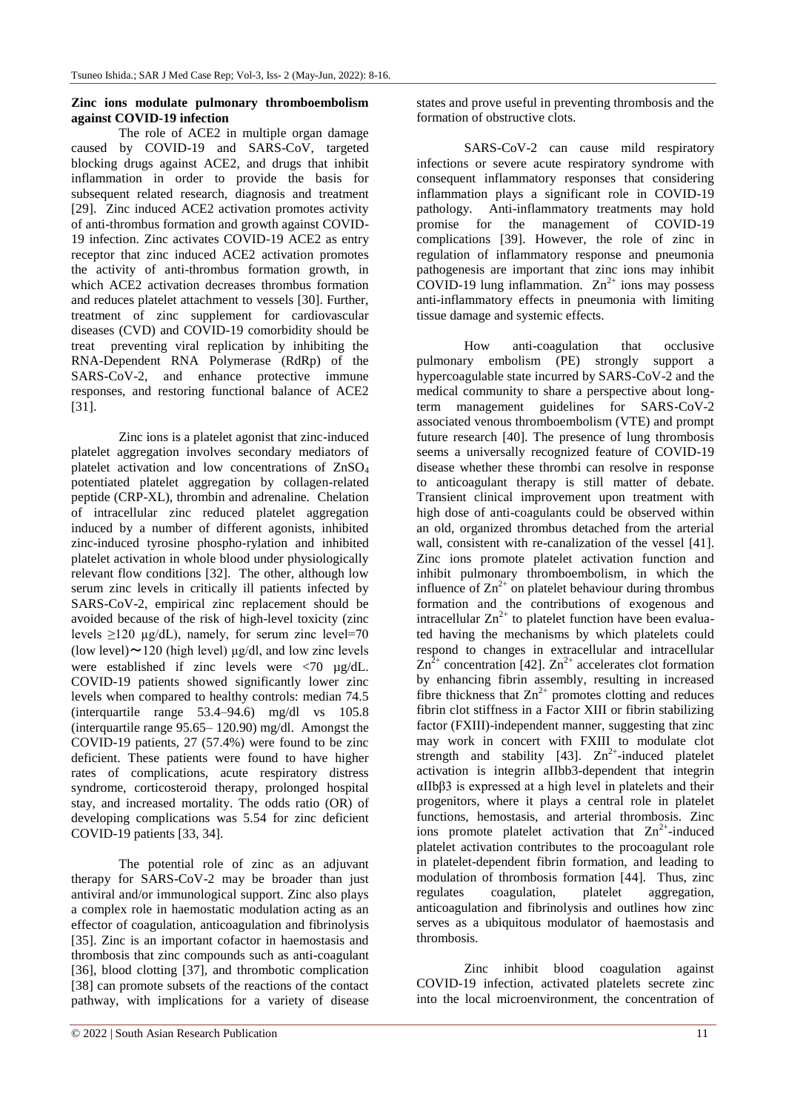## **Zinc ions modulate pulmonary thromboembolism against COVID-19 infection**

The role of ACE2 in multiple organ damage caused by COVID-19 and SARS-CoV, targeted blocking drugs against ACE2, and drugs that inhibit inflammation in order to provide the basis for subsequent related research, diagnosis and treatment [29]. Zinc induced ACE2 activation promotes activity of anti-thrombus formation and growth against COVID-19 infection. Zinc activates COVID-19 ACE2 as entry receptor that zinc induced ACE2 activation promotes the activity of anti-thrombus formation growth, in which ACE2 activation decreases thrombus formation and reduces platelet attachment to vessels [30]. Further, treatment of zinc supplement for cardiovascular diseases (CVD) and COVID-19 comorbidity should be treat preventing viral replication by inhibiting the RNA-Dependent RNA Polymerase (RdRp) of the SARS-CoV-2, and enhance protective immune responses, and restoring functional balance of ACE2 [31].

Zinc ions is a platelet agonist that zinc-induced platelet aggregation involves secondary mediators of platelet activation and low concentrations of  $\text{ZnSO}_4$ potentiated platelet aggregation by collagen-related peptide (CRP-XL), thrombin and adrenaline. Chelation of intracellular zinc reduced platelet aggregation induced by a number of different agonists, inhibited zinc-induced tyrosine phospho-rylation and inhibited platelet activation in whole blood under physiologically relevant flow conditions [32]. The other, although low serum zinc levels in critically ill patients infected by SARS-CoV-2, empirical zinc replacement should be avoided because of the risk of high-level toxicity (zinc levels  $\geq$ 120 µg/dL), namely, for serum zinc level=70 (low level)  $\sim$  120 (high level)  $\mu$ g/dl, and low zinc levels were established if zinc levels were <70 µg/dL. COVID-19 patients showed significantly lower zinc levels when compared to healthy controls: median 74.5 (interquartile range 53.4–94.6) mg/dl vs 105.8 (interquartile range 95.65– 120.90) mg/dl. Amongst the COVID-19 patients, 27 (57.4%) were found to be zinc deficient. These patients were found to have higher rates of complications, acute respiratory distress syndrome, corticosteroid therapy, prolonged hospital stay, and increased mortality. The odds ratio (OR) of developing complications was 5.54 for zinc deficient COVID-19 patients [33, 34].

The potential role of zinc as an adjuvant therapy for SARS-CoV-2 may be broader than just antiviral and/or immunological support. Zinc also plays a complex role in haemostatic modulation acting as an effector of coagulation, anticoagulation and fibrinolysis [35]. Zinc is an important cofactor in haemostasis and thrombosis that zinc compounds such as anti-coagulant [36], blood clotting [37], and thrombotic complication [38] can promote subsets of the reactions of the contact pathway, with implications for a variety of disease

states and prove useful in preventing thrombosis and the formation of obstructive clots.

SARS-CoV-2 can cause mild respiratory infections or severe acute respiratory syndrome with consequent inflammatory responses that considering inflammation plays a significant role in COVID-19 pathology. Anti-inflammatory treatments may hold promise for the management of COVID-19 complications [39]. However, the role of zinc in regulation of inflammatory response and pneumonia pathogenesis are important that zinc ions may inhibit COVID-19 lung inflammation.  $Zn^{2+}$  ions may possess anti-inflammatory effects in pneumonia with limiting tissue damage and systemic effects.

How anti-coagulation that occlusive pulmonary embolism (PE) strongly support a hypercoagulable state incurred by SARS-CoV-2 and the medical community to share a perspective about longterm management guidelines for SARS-CoV-2 associated venous thromboembolism (VTE) and prompt future research [40]. The presence of lung thrombosis seems a universally recognized feature of COVID-19 disease whether these thrombi can resolve in response to anticoagulant therapy is still matter of debate. Transient clinical improvement upon treatment with high dose of anti-coagulants could be observed within an old, organized thrombus detached from the arterial wall, consistent with re-canalization of the vessel [41]. Zinc ions promote platelet activation function and inhibit pulmonary thromboembolism, in which the influence of  $\text{Zn}^{2+}$  on platelet behaviour during thrombus formation and the contributions of exogenous and intracellular  $Zn^{2+}$  to platelet function have been evaluated having the mechanisms by which platelets could respond to changes in extracellular and intracellular  $\text{Zn}^2$ <sup>+</sup> concentration [42].  $\text{Zn}^2$ <sup>+</sup> accelerates clot formation by enhancing fibrin assembly, resulting in increased fibre thickness that  $\text{Zn}^{2+}$  promotes clotting and reduces fibrin clot stiffness in a Factor XIII or fibrin stabilizing factor (FXIII)-independent manner, suggesting that zinc may work in concert with FXIII to modulate clot strength and stability [43].  $Zn^{2+}$ -induced platelet activation is integrin aIIbb3-dependent that integrin αIIbβ3 is expressed at a high level in platelets and their progenitors, where it plays a central role in platelet functions, hemostasis, and arterial thrombosis. Zinc ions promote platelet activation that  $\text{Zn}^{2+}$ -induced platelet activation contributes to the procoagulant role in platelet-dependent fibrin formation, and leading to modulation of thrombosis formation [44]. Thus, zinc regulates coagulation, platelet aggregation, anticoagulation and fibrinolysis and outlines how zinc serves as a ubiquitous modulator of haemostasis and thrombosis.

Zinc inhibit blood coagulation against COVID-19 infection, activated platelets secrete zinc into the local microenvironment, the concentration of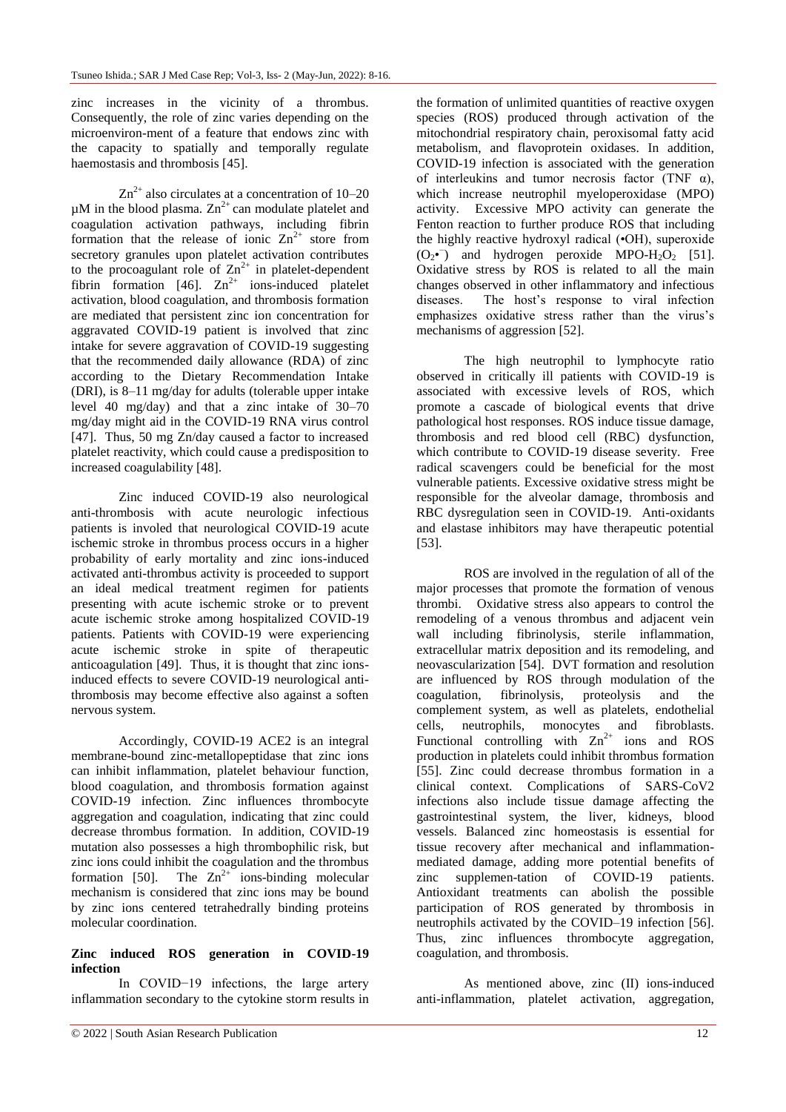zinc increases in the vicinity of a thrombus. Consequently, the role of zinc varies depending on the microenviron-ment of a feature that endows zinc with the capacity to spatially and temporally regulate haemostasis and thrombosis [45].

 $Zn^{2+}$  also circulates at a concentration of 10–20  $\mu$ M in the blood plasma.  $\text{Zn}^{2+}$  can modulate platelet and coagulation activation pathways, including fibrin formation that the release of ionic  $\sum n^{2+}$  store from secretory granules upon platelet activation contributes to the procoagulant role of  $\text{Zn}^{2+}$  in platelet-dependent fibrin formation [46].  $Zn^{2+}$  ions-induced platelet activation, blood coagulation, and thrombosis formation are mediated that persistent zinc ion concentration for aggravated COVID-19 patient is involved that zinc intake for severe aggravation of COVID-19 suggesting that the recommended daily allowance (RDA) of zinc according to the Dietary Recommendation Intake (DRI), is 8–11 mg/day for adults (tolerable upper intake level 40 mg/day) and that a zinc intake of 30–70 mg/day might aid in the COVID-19 RNA virus control [47]. Thus, 50 mg Zn/day caused a factor to increased platelet reactivity, which could cause a predisposition to increased coagulability [48].

Zinc induced COVID-19 also neurological anti-thrombosis with acute neurologic infectious patients is involed that neurological COVID-19 acute ischemic stroke in thrombus process occurs in a higher probability of early mortality and zinc ions-induced activated anti-thrombus activity is proceeded to support an ideal medical treatment regimen for patients presenting with acute ischemic stroke or to prevent acute ischemic stroke among hospitalized COVID-19 patients. Patients with COVID-19 were experiencing acute ischemic stroke in spite of therapeutic anticoagulation [49]. Thus, it is thought that zinc ionsinduced effects to severe COVID-19 neurological antithrombosis may become effective also against a soften nervous system.

Accordingly, COVID-19 ACE2 is an integral membrane-bound zinc-metallopeptidase that zinc ions can inhibit inflammation, platelet behaviour function, blood coagulation, and thrombosis formation against COVID-19 infection. Zinc influences thrombocyte aggregation and coagulation, indicating that zinc could decrease thrombus formation. In addition, COVID-19 mutation also possesses a high thrombophilic risk, but zinc ions could inhibit the coagulation and the thrombus formation [50]. The  $Zn^{2+}$  ions-binding molecular mechanism is considered that zinc ions may be bound by zinc ions centered tetrahedrally binding proteins molecular coordination.

### **Zinc induced ROS generation in COVID-19 infection**

In COVID−19 infections, the large artery inflammation secondary to the cytokine storm results in the formation of unlimited quantities of reactive oxygen species (ROS) produced through activation of the mitochondrial respiratory chain, peroxisomal fatty acid metabolism, and flavoprotein oxidases. In addition, COVID-19 infection is associated with the generation of interleukins and tumor necrosis factor (TNF  $\alpha$ ), which increase neutrophil myeloperoxidase (MPO) activity. Excessive MPO activity can generate the Fenton reaction to further produce ROS that including the highly reactive hydroxyl radical (•OH), superoxide  $(O_2\bullet)$  and hydrogen peroxide MPO-H<sub>2</sub>O<sub>2</sub> [51]. Oxidative stress by ROS is related to all the main changes observed in other inflammatory and infectious diseases. The host's response to viral infection emphasizes oxidative stress rather than the virus's mechanisms of aggression [52].

The high neutrophil to lymphocyte ratio observed in critically ill patients with COVID-19 is associated with excessive levels of ROS, which promote a cascade of biological events that drive pathological host responses. ROS induce tissue damage, thrombosis and red blood cell (RBC) dysfunction, which contribute to COVID-19 disease severity. Free radical scavengers could be beneficial for the most vulnerable patients. Excessive oxidative stress might be responsible for the alveolar damage, thrombosis and RBC dysregulation seen in COVID-19. Anti-oxidants and elastase inhibitors may have therapeutic potential [53].

ROS are involved in the regulation of all of the major processes that promote the formation of venous thrombi. Oxidative stress also appears to control the remodeling of a venous thrombus and adjacent vein wall including fibrinolysis, sterile inflammation, extracellular matrix deposition and its remodeling, and neovascularization [54]. DVT formation and resolution are influenced by ROS through modulation of the coagulation, fibrinolysis, proteolysis and the complement system, as well as platelets, endothelial cells, neutrophils, monocytes and fibroblasts. Functional controlling with  $Zn^{2+}$  ions and ROS production in platelets could inhibit thrombus formation [55]. Zinc could decrease thrombus formation in a clinical context. Complications of SARS-CoV2 infections also include tissue damage affecting the gastrointestinal system, the liver, kidneys, blood vessels. Balanced zinc homeostasis is essential for tissue recovery after mechanical and inflammationmediated damage, adding more potential benefits of zinc supplemen-tation of COVID-19 patients. Antioxidant treatments can abolish the possible participation of ROS generated by thrombosis in neutrophils activated by the COVID–19 infection [56]. Thus, zinc influences thrombocyte aggregation, coagulation, and thrombosis.

As mentioned above, zinc (Ⅱ) ions-induced anti-inflammation, platelet activation, aggregation,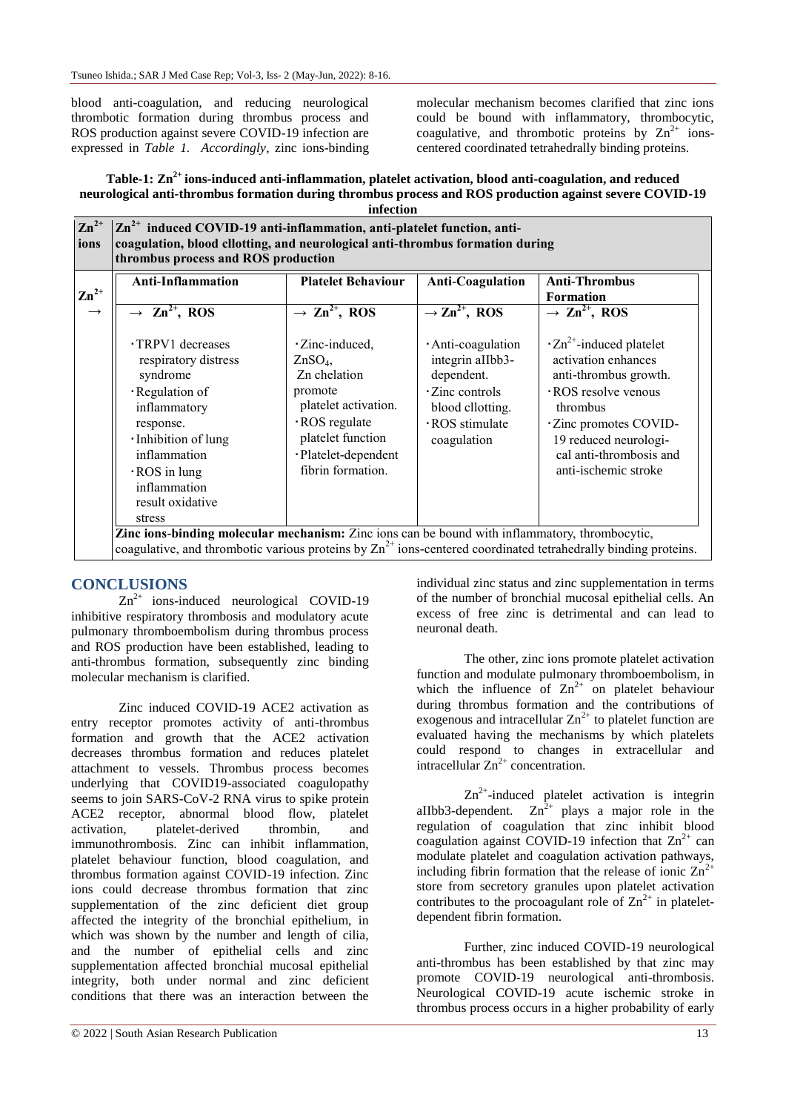blood anti-coagulation, and reducing neurological thrombotic formation during thrombus process and ROS production against severe COVID-19 infection are expressed in *Table 1. Accordingly*, zinc ions-binding molecular mechanism becomes clarified that zinc ions could be bound with inflammatory, thrombocytic, coagulative, and thrombotic proteins by  $\text{Zn}^{2+}$  ionscentered coordinated tetrahedrally binding proteins.

| Table-1: Zn <sup>2+</sup> ions-induced anti-inflammation, platelet activation, blood anti-coagulation, and reduced |
|--------------------------------------------------------------------------------------------------------------------|
| neurological anti-thrombus formation during thrombus process and ROS production against severe COVID-19            |
| infection                                                                                                          |

| <b>Anti-Inflammation</b><br>$\mathbf{Zn}^{2+}$                                                                                                                                                                     | <b>Platelet Behaviour</b>                                                                                                                                                  | <b>Anti-Coagulation</b>                                                                                                       | <b>Anti-Thrombus</b><br><b>Formation</b>                                                                                                                                                                                             |
|--------------------------------------------------------------------------------------------------------------------------------------------------------------------------------------------------------------------|----------------------------------------------------------------------------------------------------------------------------------------------------------------------------|-------------------------------------------------------------------------------------------------------------------------------|--------------------------------------------------------------------------------------------------------------------------------------------------------------------------------------------------------------------------------------|
| $\rightarrow$ Zn <sup>2+</sup> , ROS<br>$\rightarrow$                                                                                                                                                              | $\rightarrow$ Zn <sup>2+</sup> , ROS                                                                                                                                       | $\rightarrow$ Zn <sup>2+</sup> , ROS                                                                                          | $\rightarrow$ Zn <sup>2+</sup> , ROS                                                                                                                                                                                                 |
| · TRPV1 decreases<br>respiratory distress<br>syndrome<br>· Regulation of<br>inflammatory<br>response.<br>· Inhibition of lung<br>inflammation<br>$\cdot$ ROS in lung<br>inflammation<br>result oxidative<br>stress | · Zinc-induced,<br>ZnSO <sub>4</sub><br>Zn chelation<br>promote<br>platelet activation.<br>· ROS regulate<br>platelet function<br>·Platelet-dependent<br>fibrin formation. | · Anti-coagulation<br>integrin aIIbb3-<br>dependent.<br>· Zinc controls<br>blood cllotting.<br>· ROS stimulate<br>coagulation | $\cdot$ Zn <sup>2+</sup> -induced platelet<br>activation enhances<br>anti-thrombus growth.<br>· ROS resolve venous<br>thrombus<br>· Zinc promotes COVID-<br>19 reduced neurologi-<br>cal anti-thrombosis and<br>anti-ischemic stroke |

## **CONCLUSIONS**

 $Zn^{2+}$  ions-induced neurological COVID-19 inhibitive respiratory thrombosis and modulatory acute pulmonary thromboembolism during thrombus process and ROS production have been established, leading to anti-thrombus formation, subsequently zinc binding molecular mechanism is clarified.

Zinc induced COVID-19 ACE2 activation as entry receptor promotes activity of anti-thrombus formation and growth that the ACE2 activation decreases thrombus formation and reduces platelet attachment to vessels. Thrombus process becomes underlying that COVID19-associated coagulopathy seems to join SARS-CoV-2 RNA virus to spike protein ACE2 receptor, abnormal blood flow, platelet activation, platelet-derived thrombin, and immunothrombosis. Zinc can inhibit inflammation, platelet behaviour function, blood coagulation, and thrombus formation against COVID-19 infection. Zinc ions could decrease thrombus formation that zinc supplementation of the zinc deficient diet group affected the integrity of the bronchial epithelium, in which was shown by the number and length of cilia, and the number of epithelial cells and zinc supplementation affected bronchial mucosal epithelial integrity, both under normal and zinc deficient conditions that there was an interaction between the

individual zinc status and zinc supplementation in terms of the number of bronchial mucosal epithelial cells. An excess of free zinc is detrimental and can lead to neuronal death.

The other, zinc ions promote platelet activation function and modulate pulmonary thromboembolism, in which the influence of  $\text{Zn}^{2+}$  on platelet behaviour during thrombus formation and the contributions of exogenous and intracellular  $\text{Zn}^{2+}$  to platelet function are evaluated having the mechanisms by which platelets could respond to changes in extracellular and intracellular  $Zn^{2+}$  concentration.

 $\text{Zn}^{2+}$ -induced platelet activation is integrin aIIbb3-dependent.  $Zn^{2+}$  plays a major role in the regulation of coagulation that zinc inhibit blood coagulation against COVID-19 infection that  $\text{Zn}^{2+}$  can modulate platelet and coagulation activation pathways, including fibrin formation that the release of ionic  $\text{Zn}^{2+}$ store from secretory granules upon platelet activation contributes to the procoagulant role of  $\text{Zn}^{2+}$  in plateletdependent fibrin formation.

Further, zinc induced COVID-19 neurological anti-thrombus has been established by that zinc may promote COVID-19 neurological anti-thrombosis. Neurological COVID-19 acute ischemic stroke in thrombus process occurs in a higher probability of early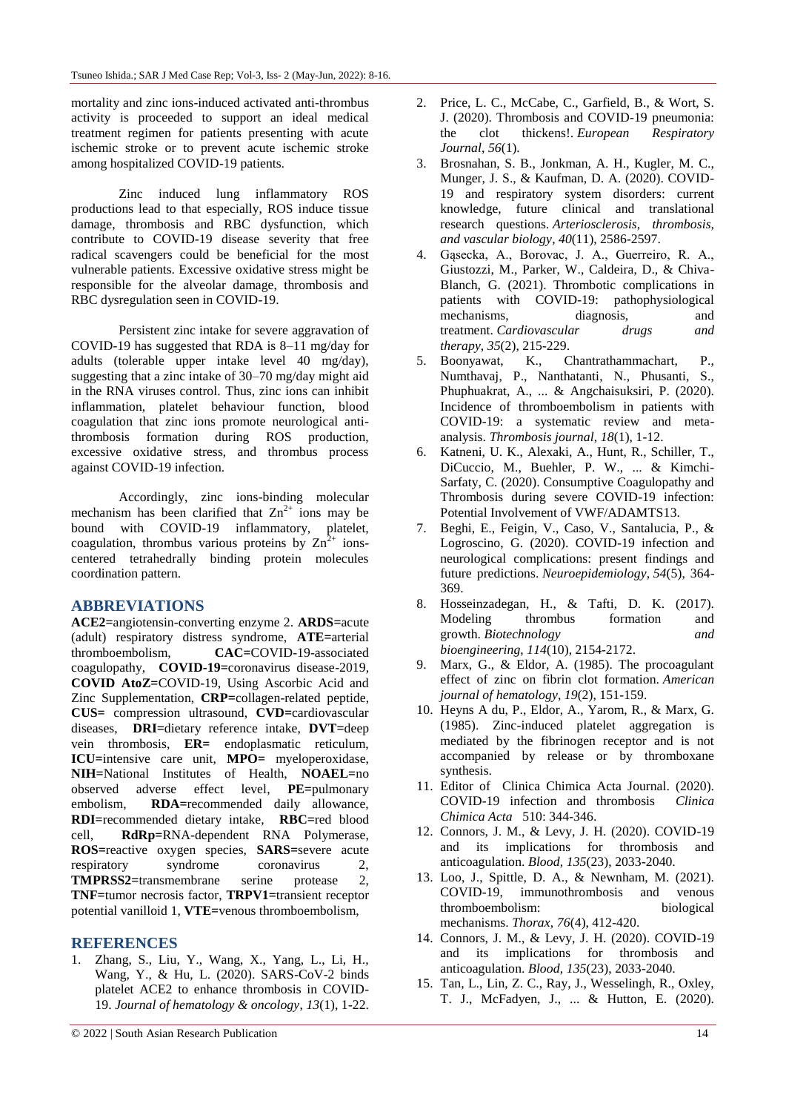mortality and zinc ions-induced activated anti-thrombus activity is proceeded to support an ideal medical treatment regimen for patients presenting with acute ischemic stroke or to prevent acute ischemic stroke among hospitalized COVID-19 patients.

Zinc induced lung inflammatory ROS productions lead to that especially, ROS induce tissue damage, thrombosis and RBC dysfunction, which contribute to COVID-19 disease severity that free radical scavengers could be beneficial for the most vulnerable patients. Excessive oxidative stress might be responsible for the alveolar damage, thrombosis and RBC dysregulation seen in COVID-19.

Persistent zinc intake for severe aggravation of COVID-19 has suggested that RDA is 8–11 mg/day for adults (tolerable upper intake level 40 mg/day), suggesting that a zinc intake of 30–70 mg/day might aid in the RNA viruses control. Thus, zinc ions can inhibit inflammation, platelet behaviour function, blood coagulation that zinc ions promote neurological antithrombosis formation during ROS production, excessive oxidative stress, and thrombus process against COVID-19 infection.

Accordingly, zinc ions-binding molecular mechanism has been clarified that  $Zn^{2+}$  ions may be bound with COVID-19 inflammatory, platelet, coagulation, thrombus various proteins by  $\text{Zn}^{\hat{2}+}$  ionscentered tetrahedrally binding protein molecules coordination pattern.

## **ABBREVIATIONS**

**ACE2=**angiotensin-converting enzyme 2. **ARDS=**acute (adult) respiratory distress syndrome, **ATE=**arterial thromboembolism, **CAC=**COVID-19-associated coagulopathy, **COVID-19=**coronavirus disease-2019, **COVID AtoZ=**COVID-19, Using Ascorbic Acid and Zinc Supplementation, **CRP=**collagen-related peptide, **CUS=** compression ultrasound, **CVD=**cardiovascular diseases, **DRI=**dietary reference intake, **DVT=**deep vein thrombosis, **ER=** endoplasmatic reticulum, **ICU=**intensive care unit, **MPO=** myeloperoxidase, **NIH=**National Institutes of Health, **NOAEL=**no observed adverse effect level, **PE=**pulmonary embolism, **RDA=**recommended daily allowance, **RDI=**recommended dietary intake, **RBC=**red blood cell, **RdRp=**RNA-dependent RNA Polymerase, **ROS=**reactive oxygen species, **SARS=**severe acute respiratory syndrome coronavirus 2, **TMPRSS2=**transmembrane serine protease 2, **TNF=**tumor necrosis factor, **TRPV1=**transient receptor potential vanilloid 1, **VTE=**venous thromboembolism,

## **REFERENCES**

1. Zhang, S., Liu, Y., Wang, X., Yang, L., Li, H., Wang, Y., & Hu, L. (2020). SARS-CoV-2 binds platelet ACE2 to enhance thrombosis in COVID-19. *Journal of hematology & oncology*, *13*(1), 1-22.

- 2. Price, L. C., McCabe, C., Garfield, B., & Wort, S. J. (2020). Thrombosis and COVID-19 pneumonia: the clot thickens!. *European Respiratory Journal*, *56*(1).
- 3. Brosnahan, S. B., Jonkman, A. H., Kugler, M. C., Munger, J. S., & Kaufman, D. A. (2020). COVID-19 and respiratory system disorders: current knowledge, future clinical and translational research questions. *Arteriosclerosis, thrombosis, and vascular biology*, *40*(11), 2586-2597.
- 4. Gąsecka, A., Borovac, J. A., Guerreiro, R. A., Giustozzi, M., Parker, W., Caldeira, D., & Chiva-Blanch, G. (2021). Thrombotic complications in patients with COVID-19: pathophysiological mechanisms, diagnosis, and treatment. *Cardiovascular drugs and therapy*, *35*(2), 215-229.
- 5. Boonyawat, K., Chantrathammachart, P., Numthavaj, P., Nanthatanti, N., Phusanti, S., Phuphuakrat, A., ... & Angchaisuksiri, P. (2020). Incidence of thromboembolism in patients with COVID-19: a systematic review and metaanalysis. *Thrombosis journal*, *18*(1), 1-12.
- 6. Katneni, U. K., Alexaki, A., Hunt, R., Schiller, T., DiCuccio, M., Buehler, P. W., ... & Kimchi-Sarfaty, C. (2020). Consumptive Coagulopathy and Thrombosis during severe COVID-19 infection: Potential Involvement of VWF/ADAMTS13.
- 7. Beghi, E., Feigin, V., Caso, V., Santalucia, P., & Logroscino, G. (2020). COVID-19 infection and neurological complications: present findings and future predictions. *Neuroepidemiology*, *54*(5), 364- 369.
- 8. Hosseinzadegan, H., & Tafti, D. K. (2017). Modeling thrombus formation and growth. *Biotechnology and bioengineering*, *114*(10), 2154-2172.
- 9. Marx, G., & Eldor, A. (1985). The procoagulant effect of zinc on fibrin clot formation. *American journal of hematology*, *19*(2), 151-159.
- 10. Heyns A du, P., Eldor, A., Yarom, R., & Marx, G. (1985). Zinc-induced platelet aggregation is mediated by the fibrinogen receptor and is not accompanied by release or by thromboxane synthesis.
- 11. Editor of Clinica Chimica Acta Journal. (2020). COVID-19 infection and thrombosis *Clinica Chimica Acta* 510: 344-346.
- 12. Connors, J. M., & Levy, J. H. (2020). COVID-19 and its implications for thrombosis and anticoagulation. *Blood*, *135*(23), 2033-2040.
- 13. Loo, J., Spittle, D. A., & Newnham, M. (2021). COVID-19, immunothrombosis and venous thromboembolism: biological mechanisms. *Thorax*, *76*(4), 412-420.
- 14. Connors, J. M., & Levy, J. H. (2020). COVID-19 and its implications for thrombosis and anticoagulation. *Blood*, *135*(23), 2033-2040.
- 15. Tan, L., Lin, Z. C., Ray, J., Wesselingh, R., Oxley, T. J., McFadyen, J., ... & Hutton, E. (2020).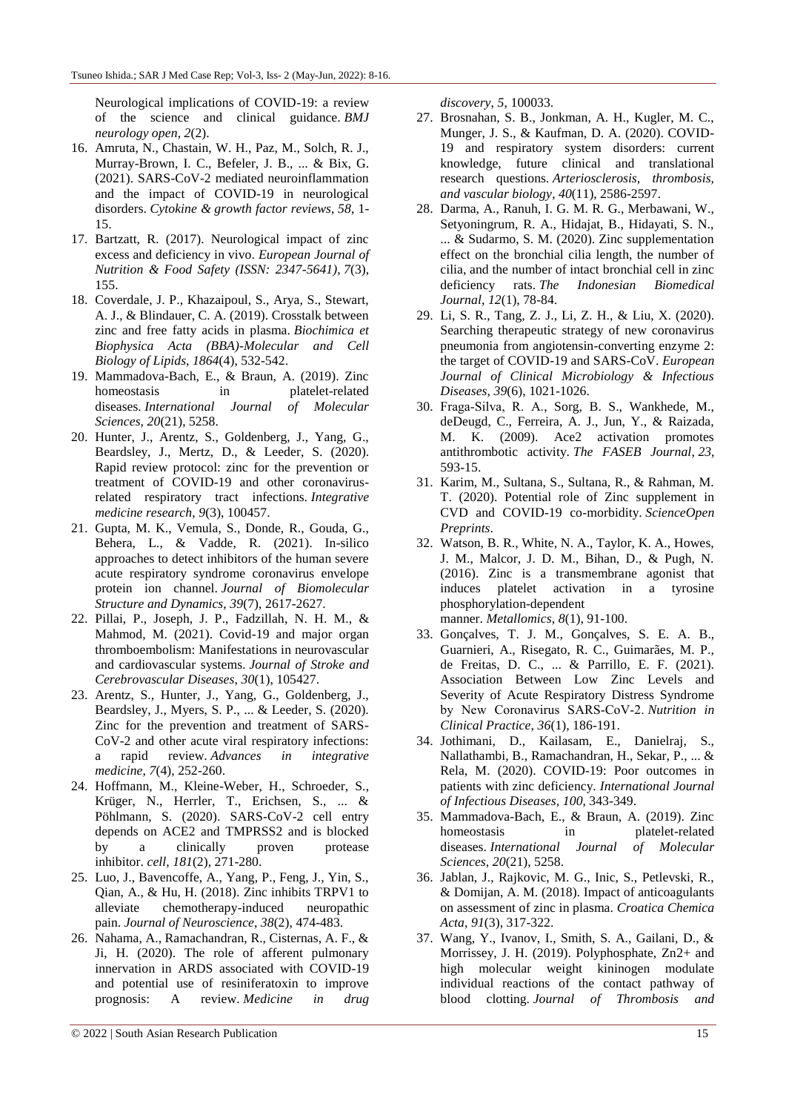Neurological implications of COVID-19: a review of the science and clinical guidance. *BMJ neurology open*, *2*(2).

- 16. Amruta, N., Chastain, W. H., Paz, M., Solch, R. J., Murray-Brown, I. C., Befeler, J. B., ... & Bix, G. (2021). SARS-CoV-2 mediated neuroinflammation and the impact of COVID-19 in neurological disorders. *Cytokine & growth factor reviews*, *58*, 1- 15.
- 17. Bartzatt, R. (2017). Neurological impact of zinc excess and deficiency in vivo. *European Journal of Nutrition & Food Safety (ISSN: 2347-5641)*, *7*(3), 155.
- 18. Coverdale, J. P., Khazaipoul, S., Arya, S., Stewart, A. J., & Blindauer, C. A. (2019). Crosstalk between zinc and free fatty acids in plasma. *Biochimica et Biophysica Acta (BBA)-Molecular and Cell Biology of Lipids*, *1864*(4), 532-542.
- 19. Mammadova-Bach, E., & Braun, A. (2019). Zinc homeostasis in platelet-related diseases. *International Journal of Molecular Sciences*, *20*(21), 5258.
- 20. Hunter, J., Arentz, S., Goldenberg, J., Yang, G., Beardsley, J., Mertz, D., & Leeder, S. (2020). Rapid review protocol: zinc for the prevention or treatment of COVID-19 and other coronavirusrelated respiratory tract infections. *Integrative medicine research*, *9*(3), 100457.
- 21. Gupta, M. K., Vemula, S., Donde, R., Gouda, G., Behera, L., & Vadde, R. (2021). In-silico approaches to detect inhibitors of the human severe acute respiratory syndrome coronavirus envelope protein ion channel. *Journal of Biomolecular Structure and Dynamics*, *39*(7), 2617-2627.
- 22. Pillai, P., Joseph, J. P., Fadzillah, N. H. M., & Mahmod, M. (2021). Covid-19 and major organ thromboembolism: Manifestations in neurovascular and cardiovascular systems. *Journal of Stroke and Cerebrovascular Diseases*, *30*(1), 105427.
- 23. Arentz, S., Hunter, J., Yang, G., Goldenberg, J., Beardsley, J., Myers, S. P., ... & Leeder, S. (2020). Zinc for the prevention and treatment of SARS-CoV-2 and other acute viral respiratory infections: a rapid review. *Advances in integrative medicine*, *7*(4), 252-260.
- 24. Hoffmann, M., Kleine-Weber, H., Schroeder, S., Krüger, N., Herrler, T., Erichsen, S., ... & Pöhlmann, S. (2020). SARS-CoV-2 cell entry depends on ACE2 and TMPRSS2 and is blocked by a clinically proven protease inhibitor. *cell*, *181*(2), 271-280.
- 25. Luo, J., Bavencoffe, A., Yang, P., Feng, J., Yin, S., Qian, A., & Hu, H. (2018). Zinc inhibits TRPV1 to alleviate chemotherapy-induced neuropathic pain. *Journal of Neuroscience*, *38*(2), 474-483.
- 26. Nahama, A., Ramachandran, R., Cisternas, A. F., & Ji, H. (2020). The role of afferent pulmonary innervation in ARDS associated with COVID-19 and potential use of resiniferatoxin to improve prognosis: A review. *Medicine in drug*

*discovery*, *5*, 100033.

- 27. Brosnahan, S. B., Jonkman, A. H., Kugler, M. C., Munger, J. S., & Kaufman, D. A. (2020). COVID-19 and respiratory system disorders: current knowledge, future clinical and translational research questions. *Arteriosclerosis, thrombosis, and vascular biology*, *40*(11), 2586-2597.
- 28. Darma, A., Ranuh, I. G. M. R. G., Merbawani, W., Setyoningrum, R. A., Hidajat, B., Hidayati, S. N., ... & Sudarmo, S. M. (2020). Zinc supplementation effect on the bronchial cilia length, the number of cilia, and the number of intact bronchial cell in zinc deficiency rats. *The Indonesian Biomedical Journal*, *12*(1), 78-84.
- 29. Li, S. R., Tang, Z. J., Li, Z. H., & Liu, X. (2020). Searching therapeutic strategy of new coronavirus pneumonia from angiotensin-converting enzyme 2: the target of COVID-19 and SARS-CoV. *European Journal of Clinical Microbiology & Infectious Diseases*, *39*(6), 1021-1026.
- 30. Fraga‐Silva, R. A., Sorg, B. S., Wankhede, M., deDeugd, C., Ferreira, A. J., Jun, Y., & Raizada, M. K. (2009). Ace2 activation promotes antithrombotic activity. *The FASEB Journal*, *23*, 593-15.
- 31. Karim, M., Sultana, S., Sultana, R., & Rahman, M. T. (2020). Potential role of Zinc supplement in CVD and COVID-19 co-morbidity. *ScienceOpen Preprints*.
- 32. Watson, B. R., White, N. A., Taylor, K. A., Howes, J. M., Malcor, J. D. M., Bihan, D., & Pugh, N. (2016). Zinc is a transmembrane agonist that induces platelet activation in a tyrosine phosphorylation-dependent

manner. *Metallomics*, *8*(1), 91-100.

- 33. Gonçalves, T. J. M., Gonçalves, S. E. A. B., Guarnieri, A., Risegato, R. C., Guimarães, M. P., de Freitas, D. C., ... & Parrillo, E. F. (2021). Association Between Low Zinc Levels and Severity of Acute Respiratory Distress Syndrome by New Coronavirus SARS‐CoV‐2. *Nutrition in Clinical Practice*, *36*(1), 186-191.
- 34. Jothimani, D., Kailasam, E., Danielraj, S., Nallathambi, B., Ramachandran, H., Sekar, P., ... & Rela, M. (2020). COVID-19: Poor outcomes in patients with zinc deficiency. *International Journal of Infectious Diseases*, *100*, 343-349.
- 35. Mammadova-Bach, E., & Braun, A. (2019). Zinc homeostasis in platelet-related diseases. *International Journal of Molecular Sciences*, *20*(21), 5258.
- 36. Jablan, J., Rajkovic, M. G., Inic, S., Petlevski, R., & Domijan, A. M. (2018). Impact of anticoagulants on assessment of zinc in plasma. *Croatica Chemica Acta*, *91*(3), 317-322.
- 37. Wang, Y., Ivanov, I., Smith, S. A., Gailani, D., & Morrissey, J. H. (2019). Polyphosphate, Zn2+ and high molecular weight kininogen modulate individual reactions of the contact pathway of blood clotting. *Journal of Thrombosis and*